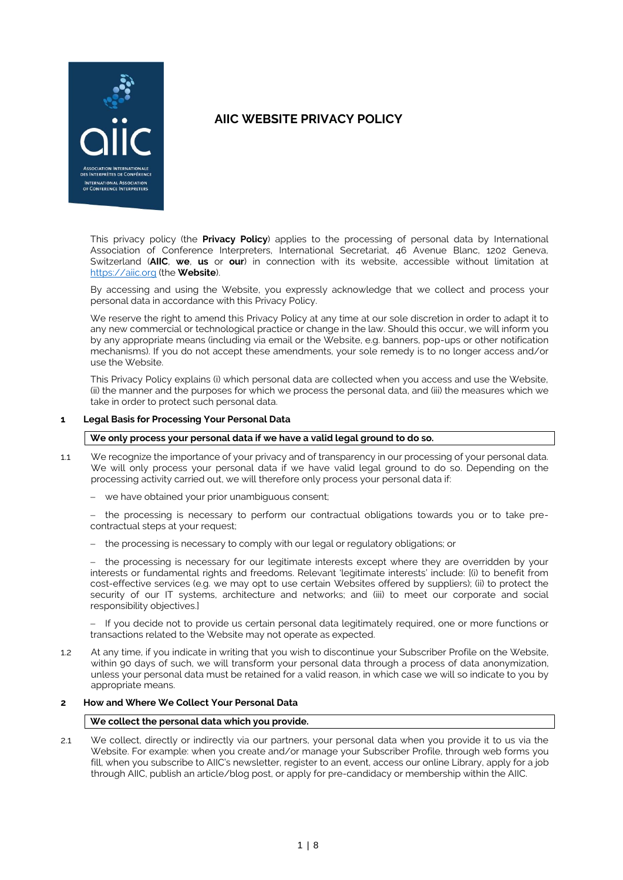

This privacy policy (the **Privacy Policy**) applies to the processing of personal data by International Association of Conference Interpreters, International Secretariat, 46 Avenue Blanc, 1202 Geneva, Switzerland (**AIIC**, **we**, **us** or **our**) in connection with its website, accessible without limitation at [https://aiic.org](https://aiic.org/) (the **Website**).

By accessing and using the Website, you expressly acknowledge that we collect and process your personal data in accordance with this Privacy Policy.

We reserve the right to amend this Privacy Policy at any time at our sole discretion in order to adapt it to any new commercial or technological practice or change in the law. Should this occur, we will inform you by any appropriate means (including via email or the Website, e.g. banners, pop-ups or other notification mechanisms). If you do not accept these amendments, your sole remedy is to no longer access and/or use the Website.

This Privacy Policy explains (i) which personal data are collected when you access and use the Website, (ii) the manner and the purposes for which we process the personal data, and (iii) the measures which we take in order to protect such personal data.

#### **1 Legal Basis for Processing Your Personal Data**

#### **We only process your personal data if we have a valid legal ground to do so.**

- 1.1 We recognize the importance of your privacy and of transparency in our processing of your personal data. We will only process your personal data if we have valid legal ground to do so. Depending on the processing activity carried out, we will therefore only process your personal data if:
	- we have obtained your prior unambiguous consent:

 the processing is necessary to perform our contractual obligations towards you or to take precontractual steps at your request;

- the processing is necessary to comply with our legal or regulatory obligations; or

 the processing is necessary for our legitimate interests except where they are overridden by your interests or fundamental rights and freedoms. Relevant 'legitimate interests' include: [(i) to benefit from cost-effective services (e.g. we may opt to use certain Websites offered by suppliers); (ii) to protect the security of our IT systems, architecture and networks; and (iii) to meet our corporate and social responsibility objectives.]

- If you decide not to provide us certain personal data legitimately required, one or more functions or transactions related to the Website may not operate as expected.

1.2 At any time, if you indicate in writing that you wish to discontinue your Subscriber Profile on the Website, within 90 days of such, we will transform your personal data through a process of data anonymization, unless your personal data must be retained for a valid reason, in which case we will so indicate to you by appropriate means.

# **2 How and Where We Collect Your Personal Data**

#### **We collect the personal data which you provide.**

2.1 We collect, directly or indirectly via our partners, your personal data when you provide it to us via the Website. For example: when you create and/or manage your Subscriber Profile, through web forms you fill, when you subscribe to AIIC's newsletter, register to an event, access our online Library, apply for a job through AIIC, publish an article/blog post, or apply for pre-candidacy or membership within the AIIC.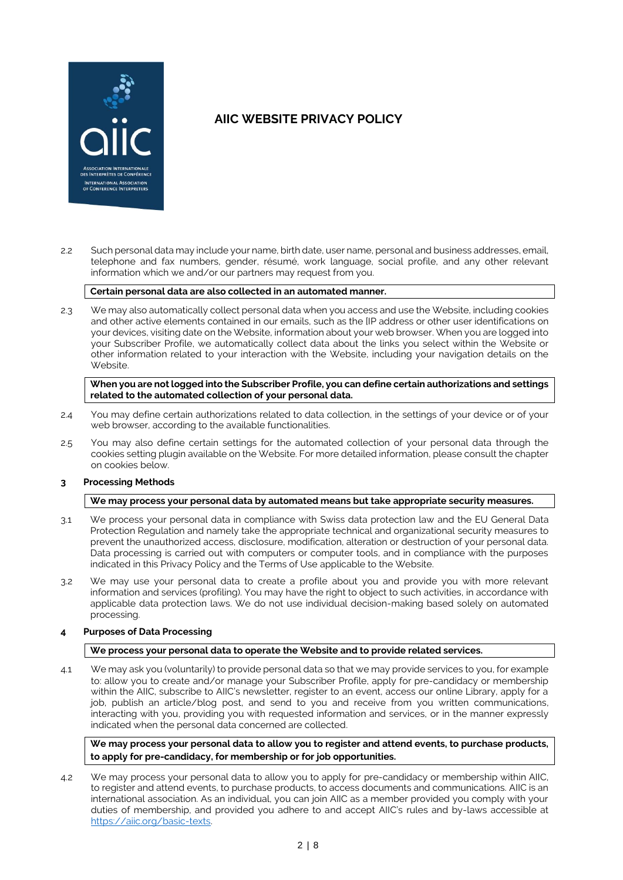

2.2 Such personal data may include your name, birth date, user name, personal and business addresses, email, telephone and fax numbers, gender, résumé, work language, social profile, and any other relevant information which we and/or our partners may request from you.

### **Certain personal data are also collected in an automated manner.**

2.3 We may also automatically collect personal data when you access and use the Website, including cookies and other active elements contained in our emails, such as the [IP address or other user identifications on your devices, visiting date on the Website, information about your web browser. When you are logged into your Subscriber Profile, we automatically collect data about the links you select within the Website or other information related to your interaction with the Website, including your navigation details on the Website.

**When you are not logged into the Subscriber Profile, you can define certain authorizations and settings related to the automated collection of your personal data.**

- 2.4 You may define certain authorizations related to data collection, in the settings of your device or of your web browser, according to the available functionalities.
- 2.5 You may also define certain settings for the automated collection of your personal data through the cookies setting plugin available on the Website. For more detailed information, please consult the chapter on cookies below.

## **3 Processing Methods**

#### **We may process your personal data by automated means but take appropriate security measures.**

- 3.1 We process your personal data in compliance with Swiss data protection law and the EU General Data Protection Regulation and namely take the appropriate technical and organizational security measures to prevent the unauthorized access, disclosure, modification, alteration or destruction of your personal data. Data processing is carried out with computers or computer tools, and in compliance with the purposes indicated in this Privacy Policy and the Terms of Use applicable to the Website.
- 3.2 We may use your personal data to create a profile about you and provide you with more relevant information and services (profiling). You may have the right to object to such activities, in accordance with applicable data protection laws. We do not use individual decision-making based solely on automated processing.

## **4 Purposes of Data Processing**

#### **We process your personal data to operate the Website and to provide related services.**

4.1 We may ask you (voluntarily) to provide personal data so that we may provide services to you, for example to: allow you to create and/or manage your Subscriber Profile, apply for pre-candidacy or membership within the AIIC, subscribe to AIIC's newsletter, register to an event, access our online Library, apply for a job, publish an article/blog post, and send to you and receive from you written communications, interacting with you, providing you with requested information and services, or in the manner expressly indicated when the personal data concerned are collected.

**We may process your personal data to allow you to register and attend events, to purchase products, to apply for pre-candidacy, for membership or for job opportunities.**

4.2 We may process your personal data to allow you to apply for pre-candidacy or membership within AIIC, to register and attend events, to purchase products, to access documents and communications. AIIC is an international association. As an individual, you can join AIIC as a member provided you comply with your duties of membership, and provided you adhere to and accept AIIC's rules and by-laws accessible at [https://aiic.org/basic-texts.](https://aiic.org/basic-texts)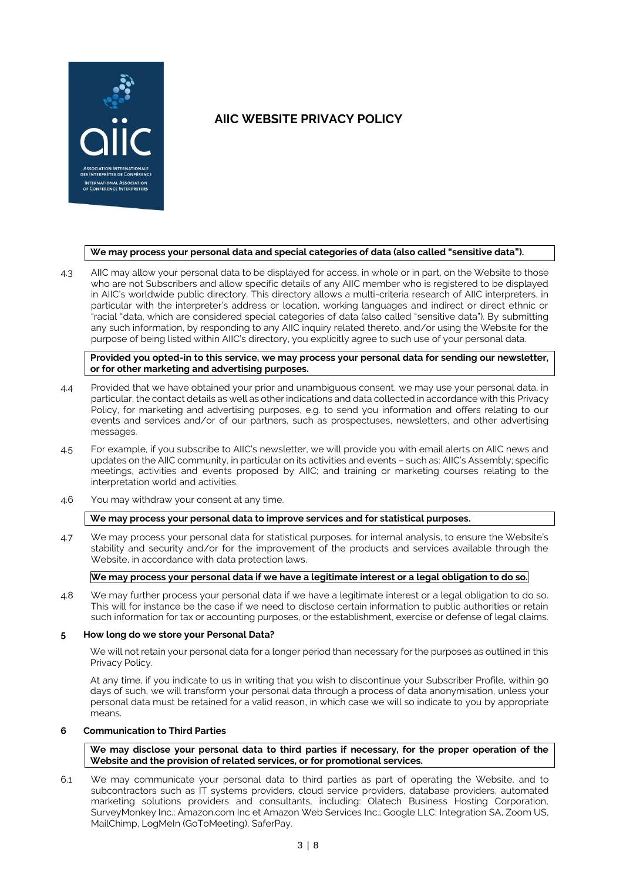

#### **We may process your personal data and special categories of data (also called "sensitive data").**

4.3 AIIC may allow your personal data to be displayed for access, in whole or in part, on the Website to those who are not Subscribers and allow specific details of any AIIC member who is registered to be displayed in AIIC's worldwide public directory. This directory allows a multi-criteria research of AIIC interpreters, in particular with the interpreter's address or location, working languages and indirect or direct ethnic or "racial "data, which are considered special categories of data (also called "sensitive data"). By submitting any such information, by responding to any AIIC inquiry related thereto, and/or using the Website for the purpose of being listed within AIIC's directory, you explicitly agree to such use of your personal data.

#### **Provided you opted-in to this service, we may process your personal data for sending our newsletter, or for other marketing and advertising purposes.**

- 4.4 Provided that we have obtained your prior and unambiguous consent, we may use your personal data, in particular, the contact details as well as other indications and data collected in accordance with this Privacy Policy, for marketing and advertising purposes, e.g. to send you information and offers relating to our events and services and/or of our partners, such as prospectuses, newsletters, and other advertising messages.
- 4.5 For example, if you subscribe to AIIC's newsletter, we will provide you with email alerts on AIIC news and updates on the AIIC community, in particular on its activities and events – such as: AIIC's Assembly; specific meetings, activities and events proposed by AIIC; and training or marketing courses relating to the interpretation world and activities.
- 4.6 You may withdraw your consent at any time.

## **We may process your personal data to improve services and for statistical purposes.**

4.7 We may process your personal data for statistical purposes, for internal analysis, to ensure the Website's stability and security and/or for the improvement of the products and services available through the Website, in accordance with data protection laws.

# We may process your personal data if we have a legitimate interest or a legal obligation to do so.

4.8 We may further process your personal data if we have a legitimate interest or a legal obligation to do so. This will for instance be the case if we need to disclose certain information to public authorities or retain such information for tax or accounting purposes, or the establishment, exercise or defense of legal claims.

#### **5 How long do we store your Personal Data?**

We will not retain your personal data for a longer period than necessary for the purposes as outlined in this Privacy Policy.

At any time, if you indicate to us in writing that you wish to discontinue your Subscriber Profile, within 90 days of such, we will transform your personal data through a process of data anonymisation, unless your personal data must be retained for a valid reason, in which case we will so indicate to you by appropriate means.

#### **6 Communication to Third Parties**

**We may disclose your personal data to third parties if necessary, for the proper operation of the Website and the provision of related services, or for promotional services.**

6.1 We may communicate your personal data to third parties as part of operating the Website, and to subcontractors such as IT systems providers, cloud service providers, database providers, automated marketing solutions providers and consultants, including: Olatech Business Hosting Corporation, SurveyMonkey Inc.; Amazon.com Inc et Amazon Web Services Inc.; Google LLC; Integration SA, Zoom US, MailChimp, LogMeIn (GoToMeeting), SaferPay.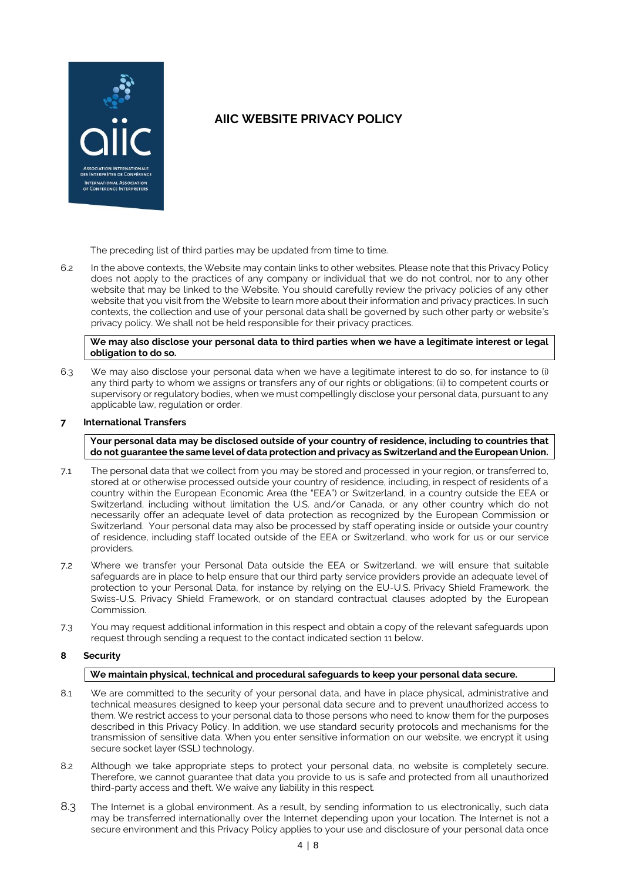

The preceding list of third parties may be updated from time to time.

6.2 In the above contexts, the Website may contain links to other websites. Please note that this Privacy Policy does not apply to the practices of any company or individual that we do not control, nor to any other website that may be linked to the Website. You should carefully review the privacy policies of any other website that you visit from the Website to learn more about their information and privacy practices. In such contexts, the collection and use of your personal data shall be governed by such other party or website's privacy policy. We shall not be held responsible for their privacy practices.

**We may also disclose your personal data to third parties when we have a legitimate interest or legal obligation to do so.**

6.3 We may also disclose your personal data when we have a legitimate interest to do so, for instance to (i) any third party to whom we assigns or transfers any of our rights or obligations; (ii) to competent courts or supervisory or regulatory bodies, when we must compellingly disclose your personal data, pursuant to any applicable law, regulation or order.

## **7 International Transfers**

**Your personal data may be disclosed outside of your country of residence, including to countries that do not guarantee the same level of data protection and privacy as Switzerland and the European Union.**

- 7.1 The personal data that we collect from you may be stored and processed in your region, or transferred to, stored at or otherwise processed outside your country of residence, including, in respect of residents of a country within the European Economic Area (the "EEA") or Switzerland, in a country outside the EEA or Switzerland, including without limitation the U.S. and/or Canada, or any other country which do not necessarily offer an adequate level of data protection as recognized by the European Commission or Switzerland. Your personal data may also be processed by staff operating inside or outside your country of residence, including staff located outside of the EEA or Switzerland, who work for us or our service providers.
- 7.2 Where we transfer your Personal Data outside the EEA or Switzerland, we will ensure that suitable safeguards are in place to help ensure that our third party service providers provide an adequate level of protection to your Personal Data, for instance by relying on the EU-U.S. Privacy Shield Framework, the Swiss-U.S. Privacy Shield Framework, or on standard contractual clauses adopted by the European Commission.
- 7.3 You may request additional information in this respect and obtain a copy of the relevant safeguards upon request through sending a request to the contact indicated section [11](#page-7-0) below.

## **8 Security**

## **We maintain physical, technical and procedural safeguards to keep your personal data secure.**

- 8.1 We are committed to the security of your personal data, and have in place physical, administrative and technical measures designed to keep your personal data secure and to prevent unauthorized access to them. We restrict access to your personal data to those persons who need to know them for the purposes described in this Privacy Policy. In addition, we use standard security protocols and mechanisms for the transmission of sensitive data. When you enter sensitive information on our website, we encrypt it using secure socket layer (SSL) technology.
- 8.2 Although we take appropriate steps to protect your personal data, no website is completely secure. Therefore, we cannot guarantee that data you provide to us is safe and protected from all unauthorized third-party access and theft. We waive any liability in this respect.
- 8.3 The Internet is a global environment. As a result, by sending information to us electronically, such data may be transferred internationally over the Internet depending upon your location. The Internet is not a secure environment and this Privacy Policy applies to your use and disclosure of your personal data once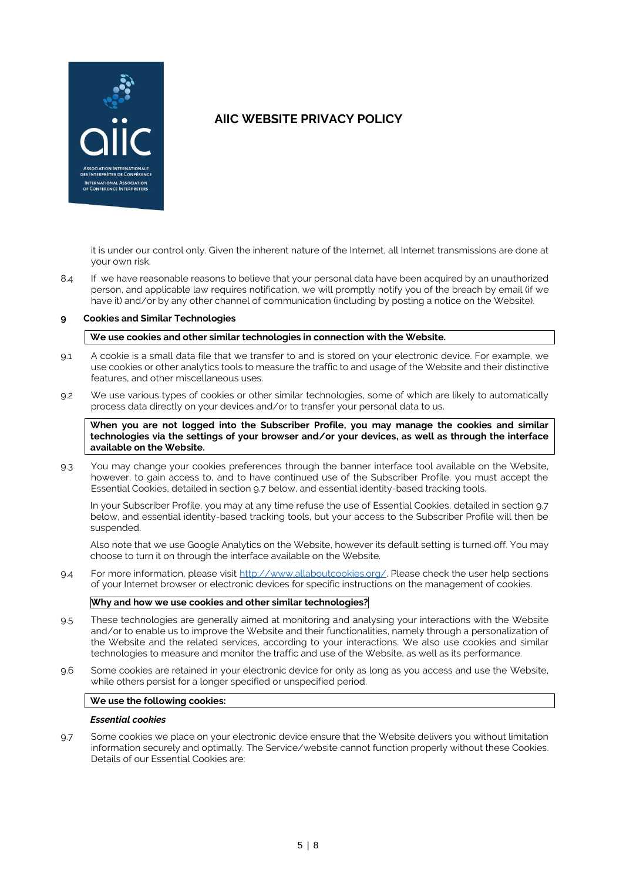

it is under our control only. Given the inherent nature of the Internet, all Internet transmissions are done at your own risk.

8.4 If we have reasonable reasons to believe that your personal data have been acquired by an unauthorized person, and applicable law requires notification, we will promptly notify you of the breach by email (if we have it) and/or by any other channel of communication (including by posting a notice on the Website).

### **9 Cookies and Similar Technologies**

#### **We use cookies and other similar technologies in connection with the Website.**

- 9.1 A cookie is a small data file that we transfer to and is stored on your electronic device. For example, we use cookies or other analytics tools to measure the traffic to and usage of the Website and their distinctive features, and other miscellaneous uses.
- 9.2 We use various types of cookies or other similar technologies, some of which are likely to automatically process data directly on your devices and/or to transfer your personal data to us.

**When you are not logged into the Subscriber Profile, you may manage the cookies and similar technologies via the settings of your browser and/or your devices, as well as through the interface available on the Website.**

9.3 You may change your cookies preferences through the banner interface tool available on the Website, however, to gain access to, and to have continued use of the Subscriber Profile, you must accept the Essential Cookies, detailed in section 9.7 below, and essential identity-based tracking tools.

In your Subscriber Profile, you may at any time refuse the use of Essential Cookies, detailed in section 9.7 below, and essential identity-based tracking tools, but your access to the Subscriber Profile will then be suspended.

Also note that we use Google Analytics on the Website, however its default setting is turned off. You may choose to turn it on through the interface available on the Website.

9.4 For more information, please visit [http://www.allaboutcookies.org/.](http://www.allaboutcookies.org/) Please check the user help sections of your Internet browser or electronic devices for specific instructions on the management of cookies.

#### **Why and how we use cookies and other similar technologies?**

- 9.5 These technologies are generally aimed at monitoring and analysing your interactions with the Website and/or to enable us to improve the Website and their functionalities, namely through a personalization of the Website and the related services, according to your interactions. We also use cookies and similar technologies to measure and monitor the traffic and use of the Website, as well as its performance.
- 9.6 Some cookies are retained in your electronic device for only as long as you access and use the Website, while others persist for a longer specified or unspecified period.

#### **We use the following cookies:**

#### *Essential cookies*

9.7 Some cookies we place on your electronic device ensure that the Website delivers you without limitation information securely and optimally. The Service/website cannot function properly without these Cookies. Details of our Essential Cookies are: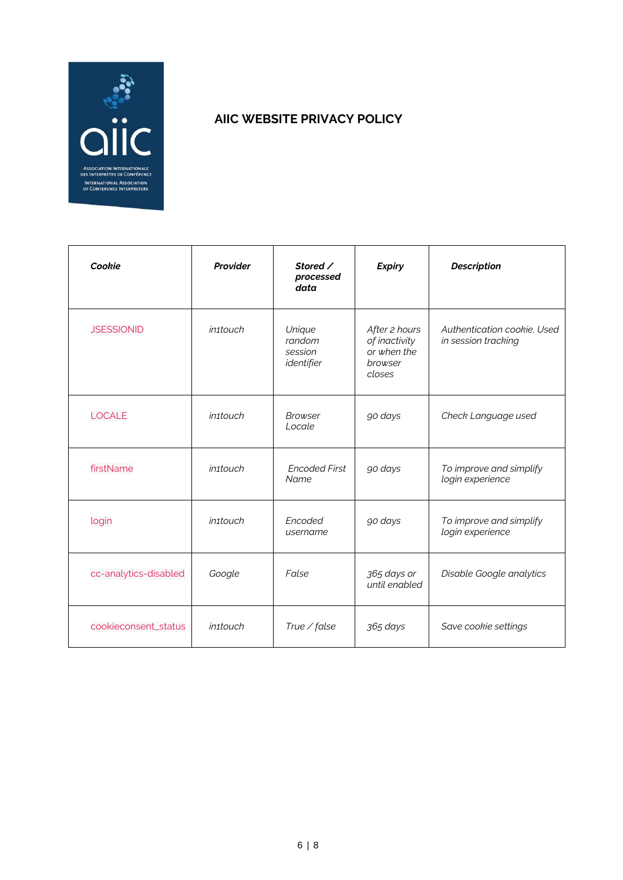

| Cookie                | Provider              | Stored /<br>processed<br>data             | <b>Expiry</b>                                                      | <b>Description</b>                                 |
|-----------------------|-----------------------|-------------------------------------------|--------------------------------------------------------------------|----------------------------------------------------|
| <b>JSESSIONID</b>     | in <sub>1</sub> touch | Unique<br>random<br>session<br>identifier | After 2 hours<br>of inactivity<br>or when the<br>browser<br>closes | Authentication cookie. Used<br>in session tracking |
| <b>LOCALE</b>         | in <sub>1</sub> touch | <b>Browser</b><br>Locale                  | go days                                                            | Check Language used                                |
| firstName             | <i>in1touch</i>       | <b>Encoded First</b><br>Name              | go days                                                            | To improve and simplify<br>login experience        |
| login                 | <i>in1touch</i>       | Encoded<br>username                       | go days                                                            | To improve and simplify<br>login experience        |
| cc-analytics-disabled | Google                | False                                     | 365 days or<br>until enabled                                       | Disable Google analytics                           |
| cookieconsent_status  | <i>in1touch</i>       | True / false                              | 365 days                                                           | Save cookie settings                               |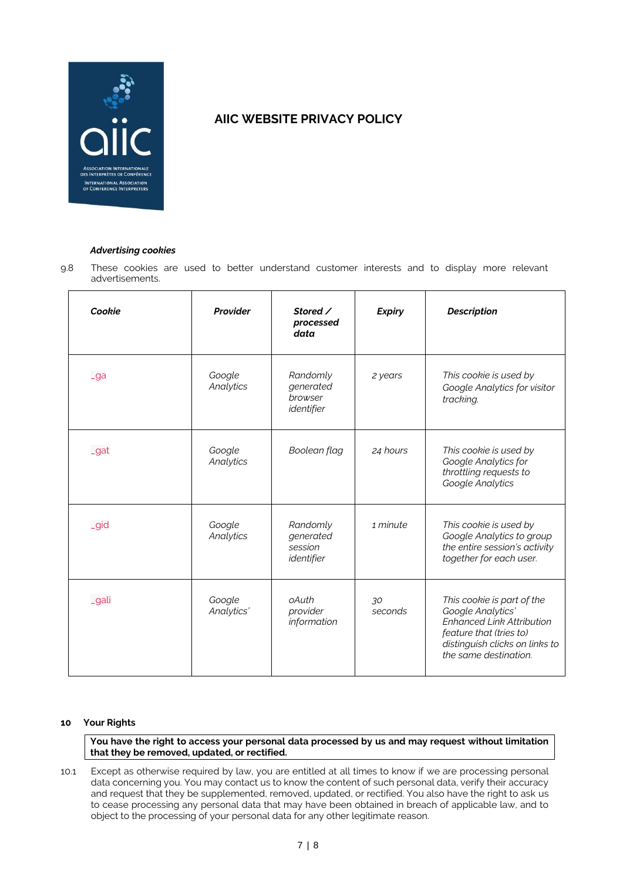

# *Advertising cookies*

9.8 These cookies are used to better understand customer interests and to display more relevant advertisements.

| Cookie | Provider             | Stored /<br>processed<br>data                  | <b>Expiry</b> | <b>Description</b>                                                                                                                                                        |
|--------|----------------------|------------------------------------------------|---------------|---------------------------------------------------------------------------------------------------------------------------------------------------------------------------|
| $-ga$  | Google<br>Analytics  | Randomly<br>generated<br>browser<br>identifier | 2 years       | This cookie is used by<br>Google Analytics for visitor<br>tracking.                                                                                                       |
| _gat   | Google<br>Analytics  | Boolean flag                                   | 24 hours      | This cookie is used by<br>Google Analytics for<br>throttling requests to<br>Google Analytics                                                                              |
| _gid   | Google<br>Analytics  | Randomly<br>generated<br>session<br>identifier | 1 minute      | This cookie is used by<br>Google Analytics to group<br>the entire session's activity<br>together for each user.                                                           |
| _gali  | Google<br>Analytics' | oAuth<br>provider<br>information               | 30<br>seconds | This cookie is part of the<br>Google Analytics'<br><b>Enhanced Link Attribution</b><br>feature that (tries to)<br>distinguish clicks on links to<br>the same destination. |

## **10 Your Rights**

**You have the right to access your personal data processed by us and may request without limitation that they be removed, updated, or rectified.**

10.1 Except as otherwise required by law, you are entitled at all times to know if we are processing personal data concerning you. You may contact us to know the content of such personal data, verify their accuracy and request that they be supplemented, removed, updated, or rectified. You also have the right to ask us to cease processing any personal data that may have been obtained in breach of applicable law, and to object to the processing of your personal data for any other legitimate reason.